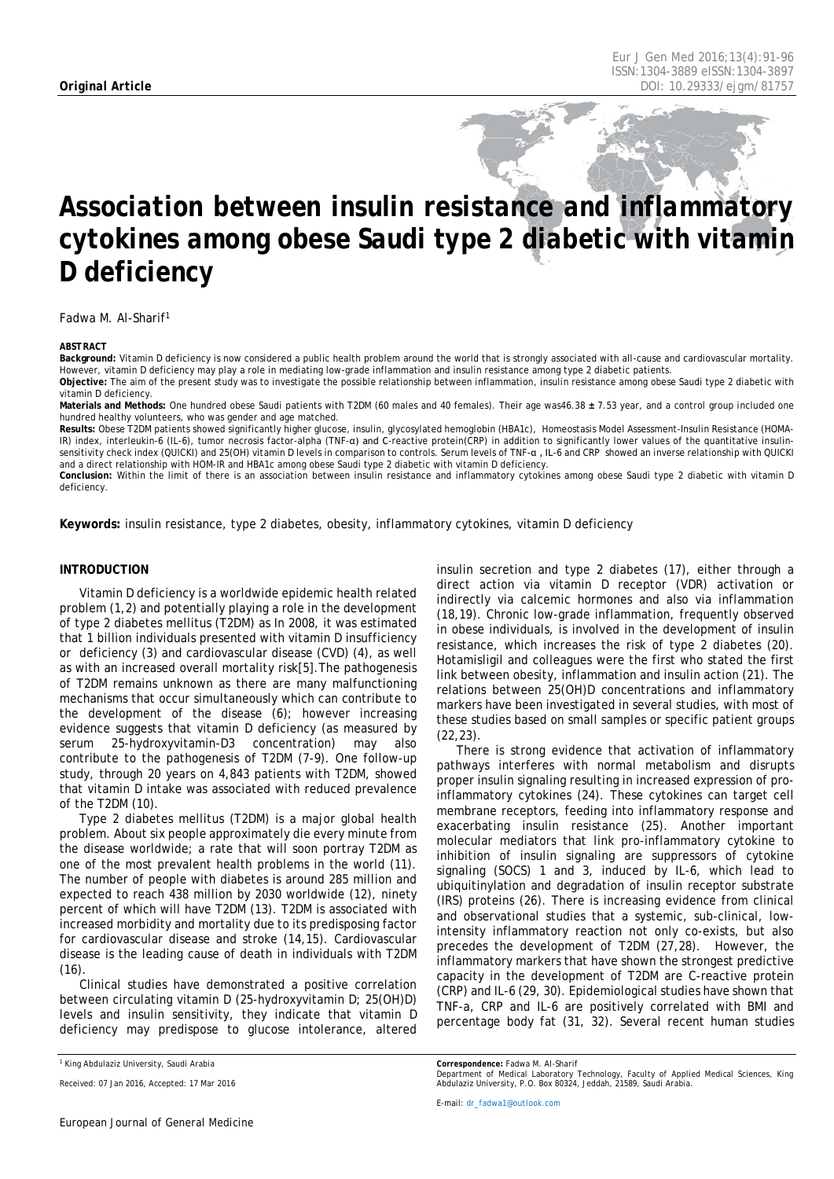# *Association between insulin resistance and inflammatory cytokines among obese Saudi type 2 diabetic with vitamin D deficiency*

Fadwa M. Al-Sharif1

#### <span id="page-0-0"></span>*ABSTRACT*

**Background:** Vitamin D deficiency is now considered a public health problem around the world that is strongly associated with all-cause and cardiovascular mortality. However, vitamin D deficiency may play a role in mediating low-grade inflammation and insulin resistance among type 2 diabetic patients. **Objective:** The aim of the present study was to investigate the possible relationship between inflammation, insulin resistance among obese Saudi type 2 diabetic with vitamin D deficiency.

**Materials and Methods:** One hundred obese Saudi patients with T2DM (60 males and 40 females). Their age was46.38 **±** 7.53 year, and a control group included one hundred healthy volunteers, who was gender and age matched.

**Results:** Obese T2DM patients showed significantly higher glucose, insulin, glycosylated hemoglobin (HBA1c), Homeostasis Model Assessment-Insulin Resistance (HOMA-IR) index, interleukin-6 (IL-6), tumor necrosis factor-alpha (TNF-α) and C-reactive protein(CRP) in addition to significantly lower values of the quantitative insulinsensitivity check index (QUICKI) and 25(OH) vitamin D levels in comparison to controls. Serum levels of TNF-α , IL-6 and CRP showed an inverse relationship with QUICKI and a direct relationship with HOM-IR and HBA1c among obese Saudi type 2 diabetic with vitamin D deficiency.

**Conclusion:** Within the limit of there is an association between insulin resistance and inflammatory cytokines among obese Saudi type 2 diabetic with vitamin D deficiency.

**Keywords:** insulin resistance, type 2 diabetes, obesity, inflammatory cytokines, vitamin D deficiency

### **INTRODUCTION**

Vitamin D deficiency is a worldwide epidemic health related problem (1,2) and potentially playing a role in the development of type 2 diabetes mellitus (T2DM) as In 2008, it was estimated that 1 billion individuals presented with vitamin D insufficiency or deficiency (3) and cardiovascular disease (CVD) (4), as well as with an increased overall mortality risk[5].The pathogenesis of T2DM remains unknown as there are many malfunctioning mechanisms that occur simultaneously which can contribute to the development of the disease (6); however increasing evidence suggests that vitamin D deficiency (as measured by serum 25-hydroxyvitamin-D3 concentration) may also contribute to the pathogenesis of T2DM (7-9). One follow-up study, through 20 years on 4,843 patients with T2DM, showed that vitamin D intake was associated with reduced prevalence of the T2DM (10).

Type 2 diabetes mellitus (T2DM) is a major global health problem. About six people approximately die every minute from the disease worldwide; a rate that will soon portray T2DM as one of the most prevalent health problems in the world (11). The number of people with diabetes is around 285 million and expected to reach 438 million by 2030 worldwide (12), ninety percent of which will have T2DM (13). T2DM is associated with increased morbidity and mortality due to its predisposing factor for cardiovascular disease and stroke (14,15). Cardiovascular disease is the leading cause of death in individuals with T2DM  $(16)$ 

Clinical studies have demonstrated a positive correlation between circulating vitamin D (25-hydroxyvitamin D; 25(OH)D) levels and insulin sensitivity, they indicate that vitamin D deficiency may predispose to glucose intolerance, altered

insulin secretion and type 2 diabetes (17), either through a direct action via vitamin D receptor (VDR) activation or indirectly via calcemic hormones and also via inflammation (18,19). Chronic low-grade inflammation, frequently observed in obese individuals, is involved in the development of insulin resistance, which increases the risk of type 2 diabetes (20). Hotamisligil and colleagues were the first who stated the first link between obesity, inflammation and insulin action (21). The relations between 25(OH)D concentrations and inflammatory markers have been investigated in several studies, with most of these studies based on small samples or specific patient groups (22,23).

There is strong evidence that activation of inflammatory pathways interferes with normal metabolism and disrupts proper insulin signaling resulting in increased expression of proinflammatory cytokines (24). These cytokines can target cell membrane receptors, feeding into inflammatory response and exacerbating insulin resistance (25). Another important molecular mediators that link pro-inflammatory cytokine to inhibition of insulin signaling are suppressors of cytokine signaling (SOCS) 1 and 3, induced by IL-6, which lead to ubiquitinylation and degradation of insulin receptor substrate (IRS) proteins (26). There is increasing evidence from clinical and observational studies that a systemic, sub-clinical, lowintensity inflammatory reaction not only co-exists, but also precedes the development of T2DM (27,28). However, the inflammatory markers that have shown the strongest predictive capacity in the development of T2DM are C-reactive protein (CRP) and IL-6 (29, 30). Epidemiological studies have shown that TNF-a, CRP and IL-6 are positively correlated with BMI and percentage body fat (31, 32). Several recent human studies

*<sup>1</sup> King Abdulaziz University, Saudi Arabia*

*Received: 07 Jan 2016, Accepted: 17 Mar 2016*

*Correspondence: Fadwa M. Al-Sharif*

*Department of Medical Laboratory Technology, Faculty of Applied Medical Sciences, King Abdulaziz University, P.O. Box 80324, Jeddah, 21589, Saudi Arabia.*

*E-mail[: dr\\_fadwa1@outlook.com](mailto:dr_fadwa1@outlook.com)*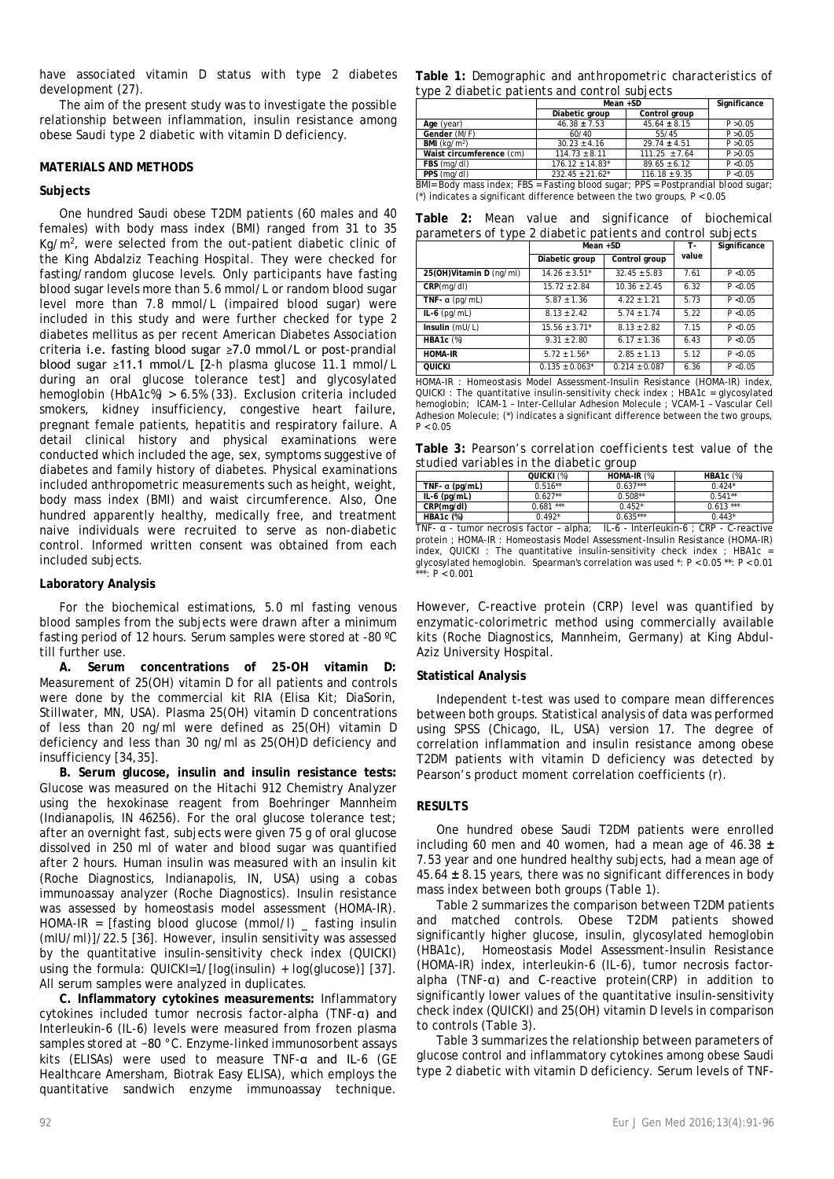have associated vitamin D status with type 2 diabetes development (27).

The aim of the present study was to investigate the possible relationship between inflammation, insulin resistance among obese Saudi type 2 diabetic with vitamin D deficiency.

## **MATERIALS AND METHODS**

## **Subjects**

One hundred Saudi obese T2DM patients (60 males and 40 females) with body mass index (BMI) ranged from 31 to 35 Kg/m<sup>2</sup>, were selected from the out-patient diabetic clinic of the King Abdalziz Teaching Hospital. They were checked for fasting/random glucose levels. Only participants have fasting blood sugar levels more than 5.6 mmol/L or random blood sugar level more than 7.8 mmol/L (impaired blood sugar) were included in this study and were further checked for type 2 diabetes mellitus as per recent American Diabetes Association criteria i.e. fasting blood sugar ≥7.0 mmol/L or post-prandial blood sugar ≥11.1 mmol/L [2-h plasma glucose 11.1 mmol/L during an oral glucose tolerance test] and glycosylated hemoglobin (HbA1c%) > 6.5% (33). Exclusion criteria included smokers, kidney insufficiency, congestive heart failure, pregnant female patients, hepatitis and respiratory failure. A detail clinical history and physical examinations were conducted which included the age, sex, symptoms suggestive of diabetes and family history of diabetes. Physical examinations included anthropometric measurements such as height, weight, body mass index (BMI) and waist circumference. Also, One hundred apparently healthy, medically free, and treatment naive individuals were recruited to serve as non-diabetic control. Informed written consent was obtained from each included subjects.

## **Laboratory Analysis**

For the biochemical estimations, 5.0 ml fasting venous blood samples from the subjects were drawn after a minimum fasting period of 12 hours. Serum samples were stored at -80 ºC till further use.

**A. Serum concentrations of 25-OH vitamin D:**  Measurement of 25(OH) vitamin D for all patients and controls were done by the commercial kit RIA (Elisa Kit; DiaSorin, Stillwater, MN, USA). Plasma 25(OH) vitamin D concentrations of less than 20 ng/ml were defined as 25(OH) vitamin D deficiency and less than 30 ng/ml as 25(OH)D deficiency and insufficiency [34,35].

**B. Serum glucose, insulin and insulin resistance tests:** Glucose was measured on the Hitachi 912 Chemistry Analyzer using the hexokinase reagent from Boehringer Mannheim (Indianapolis, IN 46256). For the oral glucose tolerance test; after an overnight fast, subjects were given 75 g of oral glucose dissolved in 250 ml of water and blood sugar was quantified after 2 hours. Human insulin was measured with an insulin kit (Roche Diagnostics, Indianapolis, IN, USA) using a cobas immunoassay analyzer (Roche Diagnostics). Insulin resistance was assessed by homeostasis model assessment (HOMA-IR). HOMA-IR = [fasting blood glucose (mmol/l)  $\_$  fasting insulin (mIU/ml)]/22.5 [36]. However, insulin sensitivity was assessed by the quantitative insulin-sensitivity check index (QUICKI) using the formula: QUICKI=1/[log(insulin) + log(glucose)] [37]. All serum samples were analyzed in duplicates.

**C. Inflammatory cytokines measurements:** Inflammatory cytokines included tumor necrosis factor-alpha (TNF-α) and Interleukin-6 (IL-6) levels were measured from frozen plasma samples stored at −80 °C. Enzyme-linked immunosorbent assays kits (ELISAs) were used to measure TNF-α and IL-6 (GE Healthcare Amersham, Biotrak Easy ELISA), which employs the quantitative sandwich enzyme immunoassay technique.

|  | Table 1: Demographic and anthropometric characteristics of |  |
|--|------------------------------------------------------------|--|
|  | type 2 diabetic patients and control subjects              |  |

|                          | $Mean + SD$                     |                   | Significance |
|--------------------------|---------------------------------|-------------------|--------------|
|                          | Diabetic group                  | Control aroup     |              |
| Age (year)               | $46.38 \pm 7.53$                | $45.64 \pm 8.15$  | P > 0.05     |
| Gender (M/F)             | 60/40                           | 55/45             | P > 0.05     |
| <b>BMI</b> ( $ka/m2$ )   | $30.23 \pm 4.16$                | $29.74 \pm 4.51$  | P > 0.05     |
| Waist circumference (cm) | $114.73 \pm 8.11$               | $111.25 \pm 7.64$ | P > 0.05     |
| FBS (mg/dl)              | $176.12 \pm 14.83$ <sup>*</sup> | $89.65 + 6.12$    | P < 0.05     |
| PPS (mg/dl)              | $232.45 \pm 21.62^*$            | $116.18 \pm 9.35$ | P < 0.05     |

BMI= Body mass index; FBS = Fasting blood sugar; PPS = Postprandial blood sugar; (\*) indicates a significant difference between the two groups,  $P < 0.05$ 

**Table 2:** *Mean value and significance of biochemical parameters of type 2 diabetic patients and control subjects*

|                         | Mean +SD            |                   | т.    | Significance |
|-------------------------|---------------------|-------------------|-------|--------------|
|                         | Diabetic group      | Control group     | value |              |
| 25(OH)Vitamin D (ng/ml) | $14.26 \pm 3.51^*$  | $32.45 \pm 5.83$  | 7.61  | P < 0.05     |
| CRP(mg/dl)              | $15.72 \pm 2.84$    | $10.36 + 2.45$    | 6.32  | P < 0.05     |
| TNF- $\alpha$ (pg/mL)   | $5.87 \pm 1.36$     | $4.22 + 1.21$     | 5.73  | P < 0.05     |
| $IL-6$ (pg/mL)          | $8.13 \pm 2.42$     | $5.74 \pm 1.74$   | 5.22  | P < 0.05     |
| Insulin (mU/L)          | $15.56 \pm 3.71^*$  | $8.13 + 2.82$     | 7.15  | P < 0.05     |
| <b>HBA1c</b> (%)        | $9.31 + 2.80$       | $6.17 + 1.36$     | 6.43  | P < 0.05     |
| <b>HOMA-IR</b>          | $5.72 \pm 1.56^*$   | $2.85 \pm 1.13$   | 5.12  | P < 0.05     |
| <b>QUICKI</b>           | $0.135 \pm 0.063$ * | $0.214 \pm 0.087$ | 6.36  | P < 0.05     |

HOMA-IR : Homeostasis Model Assessment-Insulin Resistance (HOMA-IR) index, QUICKI : The quantitative insulin-sensitivity check index ; HBA1c = glycosylated hemoglobin; ICAM-1 – Inter-Cellular Adhesion Molecule ; VCAM-1 – Vascular Cell Adhesion Molecule; (\*) indicates a significant difference between the two groups,  $P < 0.05$ 

**Table 3:** *Pearson's correlation coefficients test value of the studied variables in the diabetic group*

|                                                                                           | QUICKI (%) | $HOMA-IR$ $(\%)$ | HBA1 $c$ $%$ |  |
|-------------------------------------------------------------------------------------------|------------|------------------|--------------|--|
| TNF- $\alpha$ (pg/mL)                                                                     | $0.516**$  | $0.637***$       | $0.424*$     |  |
| $IL-6$ (pg/mL)                                                                            | $0.627**$  | $0.508**$        | $0.541**$    |  |
| CRP(mg/dl)                                                                                | $0.681***$ | $0.452*$         | $0.613***$   |  |
| <b>HBA1c</b> (%)                                                                          | $0.492*$   | $0.635***$       | $0.443*$     |  |
| $II \land$ Interleukin $\land$ CDD $\land$ reactive<br>TNE a tumor pocrosis factor alpha- |            |                  |              |  |

The social recrosis factor – alpha; IL-6 - Interleukin-6 ; CRP protein ; HOMA-IR : Homeostasis Model Assessment-Insulin Resistance (HOMA-IR) index, QUICKI : The quantitative insulin-sensitivity check index ; HBA1c = glycosylated hemoglobin. Spearman's correlation was used \*: P < 0.05 \*\*: P < 0.01  $\cdot$  P < 0.001

However, C-reactive protein (CRP) level was quantified by enzymatic-colorimetric method using commercially available kits (Roche Diagnostics, Mannheim, Germany) at King Abdul-Aziz University Hospital.

### **Statistical Analysis**

Independent t-test was used to compare mean differences between both groups. Statistical analysis of data was performed using SPSS (Chicago, IL, USA) version 17. The degree of correlation inflammation and insulin resistance among obese T2DM patients with vitamin D deficiency was detected by Pearson's product moment correlation coefficients (r).

### **RESULTS**

One hundred obese Saudi T2DM patients were enrolled including 60 men and 40 women, had a mean age of 46.38 **±**  7.53 year and one hundred healthy subjects, had a mean age of 45.64 **±** 8.15 years, there was no significant differences in body mass index between both groups (Table 1).

Table 2 summarizes the comparison between T2DM patients and matched controls. Obese T2DM patients showed significantly higher glucose, insulin, glycosylated hemoglobin (HBA1c), Homeostasis Model Assessment-Insulin Resistance (HOMA-IR) index, interleukin-6 (IL-6), tumor necrosis factoralpha (TNF-α) and C-reactive protein(CRP) in addition to significantly lower values of the quantitative insulin-sensitivity check index (QUICKI) and 25(OH) vitamin D levels in comparison to controls (Table 3).

Table 3 summarizes the relationship between parameters of glucose control and inflammatory cytokines among obese Saudi type 2 diabetic with vitamin D deficiency. Serum levels of TNF-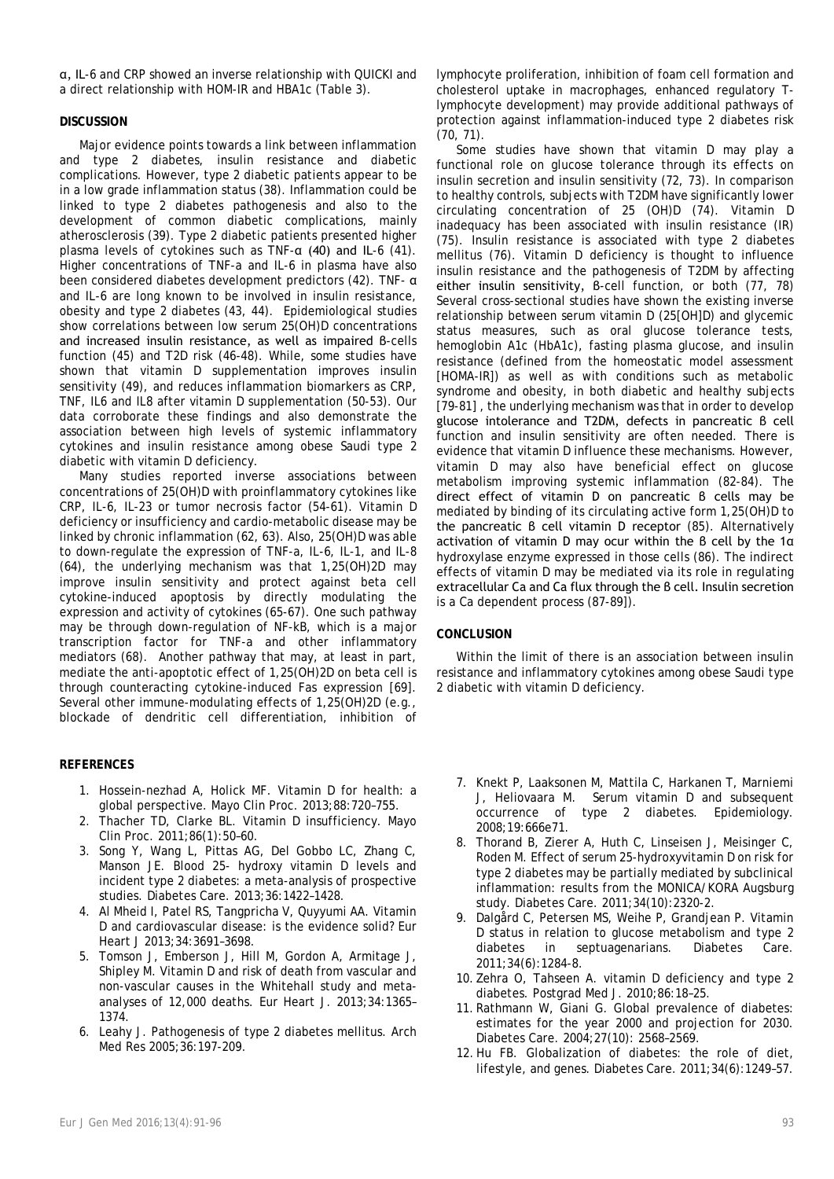α, IL-6 and CRP showed an inverse relationship with QUICKI and a direct relationship with HOM-IR and HBA1c (Table 3).

## **DISCUSSION**

Major evidence points towards a link between inflammation and type 2 diabetes, insulin resistance and diabetic complications. However, type 2 diabetic patients appear to be in a low grade inflammation status (38). Inflammation could be linked to type 2 diabetes pathogenesis and also to the development of common diabetic complications, mainly atherosclerosis (39). Type 2 diabetic patients presented higher plasma levels of cytokines such as TNF-α (40) and IL-6 (41). Higher concentrations of TNF-a and IL-6 in plasma have also been considered diabetes development predictors (42). TNF- α and IL-6 are long known to be involved in insulin resistance, obesity and type 2 diabetes (43, 44). Epidemiological studies show correlations between low serum 25(OH)D concentrations and increased insulin resistance, as well as impaired β-cells function (45) and T2D risk (46-48). While, some studies have shown that vitamin D supplementation improves insulin sensitivity (49), and reduces inflammation biomarkers as CRP, TNF, IL6 and IL8 after vitamin D supplementation (50-53). Our data corroborate these findings and also demonstrate the association between high levels of systemic inflammatory cytokines and insulin resistance among obese Saudi type 2 diabetic with vitamin D deficiency.

Many studies reported inverse associations between concentrations of 25(OH)D with proinflammatory cytokines like CRP, IL-6, IL-23 or tumor necrosis factor (54-61). Vitamin D deficiency or insufficiency and cardio-metabolic disease may be linked by chronic inflammation (62, 63). Also, 25(OH)D was able to down-regulate the expression of TNF-a, IL-6, IL-1, and IL-8 (64), the underlying mechanism was that 1,25(OH)2D may improve insulin sensitivity and protect against beta cell cytokine-induced apoptosis by directly modulating the expression and activity of cytokines (65-67). One such pathway may be through down-regulation of NF-kB, which is a major transcription factor for TNF-a and other inflammatory mediators (68). Another pathway that may, at least in part, mediate the anti-apoptotic effect of 1,25(OH)2D on beta cell is through counteracting cytokine-induced Fas expression [69]. Several other immune-modulating effects of 1,25(OH)2D (e.g., blockade of dendritic cell differentiation, inhibition of

## **REFERENCES**

- 1. Hossein-nezhad A, Holick MF. Vitamin D for health: a global perspective. Mayo Clin Proc. 2013;88:720–755.
- 2. Thacher TD, Clarke BL. Vitamin D insufficiency. Mayo Clin Proc. 2011;86(1):50–60.
- 3. Song Y, Wang L, Pittas AG, Del Gobbo LC, Zhang C, Manson JE. Blood 25- hydroxy vitamin D levels and incident type 2 diabetes: a meta-analysis of prospective studies. Diabetes Care. 2013;36:1422–1428.
- 4. Al Mheid I, Patel RS, Tangpricha V, Quyyumi AA. Vitamin D and cardiovascular disease: is the evidence solid? Eur Heart J 2013;34:3691–3698.
- 5. Tomson J, Emberson J, Hill M, Gordon A, Armitage J, Shipley M. Vitamin D and risk of death from vascular and non-vascular causes in the Whitehall study and metaanalyses of 12,000 deaths. Eur Heart J. 2013;34:1365– 1374.
- 6. Leahy J. Pathogenesis of type 2 diabetes mellitus. Arch Med Res 2005;36:197-209.

lymphocyte proliferation, inhibition of foam cell formation and cholesterol uptake in macrophages, enhanced regulatory Tlymphocyte development) may provide additional pathways of protection against inflammation-induced type 2 diabetes risk (70, 71).

Some studies have shown that vitamin D may play a functional role on glucose tolerance through its effects on insulin secretion and insulin sensitivity (72, 73). In comparison to healthy controls, subjects with T2DM have significantly lower circulating concentration of 25 (OH)D (74). Vitamin D inadequacy has been associated with insulin resistance (IR) (75). Insulin resistance is associated with type 2 diabetes mellitus (76). Vitamin D deficiency is thought to influence insulin resistance and the pathogenesis of T2DM by affecting either insulin sensitivity, β-cell function, or both (77, 78) Several cross-sectional studies have shown the existing inverse relationship between serum vitamin D (25[OH]D) and glycemic status measures, such as oral glucose tolerance tests, hemoglobin A1c (HbA1c), fasting plasma glucose, and insulin resistance (defined from the homeostatic model assessment [HOMA-IR]) as well as with conditions such as metabolic syndrome and obesity, in both diabetic and healthy subjects [79-81] , the underlying mechanism was that in order to develop glucose intolerance and T2DM, defects in pancreatic β cell function and insulin sensitivity are often needed. There is evidence that vitamin D influence these mechanisms. However, vitamin D may also have beneficial effect on glucose metabolism improving systemic inflammation (82-84). The direct effect of vitamin D on pancreatic β cells may be mediated by binding of its circulating active form 1,25(OH)D to the pancreatic β cell vitamin D receptor (85). Alternatively activation of vitamin D may ocur within the β cell by the 1α hydroxylase enzyme expressed in those cells (86). The indirect effects of vitamin D may be mediated via its role in regulating extracellular Ca and Ca flux through the β cell. Insulin secretion is a Ca dependent process (87-89]).

## **CONCLUSION**

Within the limit of there is an association between insulin resistance and inflammatory cytokines among obese Saudi type 2 diabetic with vitamin D deficiency.

- 7. Knekt P, Laaksonen M, Mattila C, Harkanen T, Marniemi J, Heliovaara M. Serum vitamin D and subsequent occurrence of type 2 diabetes. Epidemiology. 2008;19:666e71.
- 8. Thorand B, Zierer A, Huth C, Linseisen J, Meisinger C, Roden M. Effect of serum 25-hydroxyvitamin D on risk for type 2 diabetes may be partially mediated by subclinical inflammation: results from the MONICA/KORA Augsburg study. Diabetes Care. 2011;34(10):2320-2.
- 9. Dalgård C, Petersen MS, Weihe P, Grandjean P. Vitamin D status in relation to glucose metabolism and type 2 diabetes in septuagenarians. Diabetes Care. 2011;34(6):1284-8.
- 10. Zehra O, Tahseen A. vitamin D deficiency and type 2 diabetes. Postgrad Med J. 2010;86:18–25.
- 11. Rathmann W, Giani G. Global prevalence of diabetes: estimates for the year 2000 and projection for 2030. Diabetes Care. 2004;27(10): 2568–2569.
- 12. Hu FB. Globalization of diabetes: the role of diet, lifestyle, and genes. Diabetes Care. 2011;34(6):1249–57.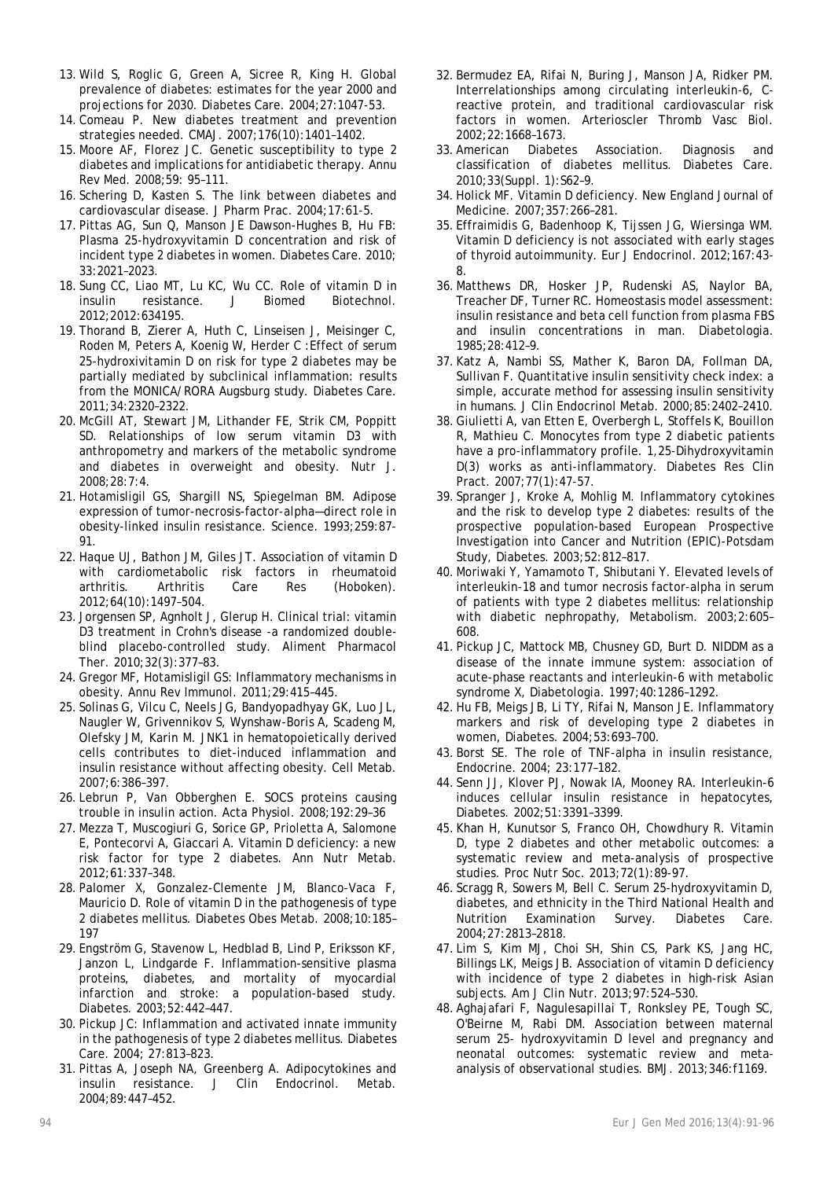- 13. Wild S, Roglic G, Green A, Sicree R, King H. Global prevalence of diabetes: estimates for the year 2000 and projections for 2030. Diabetes Care. 2004;27:1047-53.
- 14. Comeau P. New diabetes treatment and prevention strategies needed. CMAJ. 2007;176(10):1401–1402.
- 15. Moore AF, Florez JC. Genetic susceptibility to type 2 diabetes and implications for antidiabetic therapy. Annu Rev Med. 2008;59: 95–111.
- 16. Schering D, Kasten S. The link between diabetes and cardiovascular disease. J Pharm Prac. 2004;17:61-5.
- 17. Pittas AG, Sun Q, Manson JE Dawson-Hughes B, Hu FB: Plasma 25-hydroxyvitamin D concentration and risk of incident type 2 diabetes in women. Diabetes Care. 2010; 33:2021–2023.
- 18. Sung CC, Liao MT, Lu KC, Wu CC. Role of vitamin D in insulin resistance. J Biomed Biotechnol. 2012;2012:634195.
- 19. Thorand B, Zierer A, Huth C, Linseisen J, Meisinger C, Roden M, Peters A, Koenig W, Herder C :Effect of serum 25-hydroxivitamin D on risk for type 2 diabetes may be partially mediated by subclinical inflammation: results from the MONICA/RORA Augsburg study. Diabetes Care. 2011;34:2320–2322.
- 20. McGill AT, Stewart JM, Lithander FE, Strik CM, Poppitt SD. Relationships of low serum vitamin D3 with anthropometry and markers of the metabolic syndrome and diabetes in overweight and obesity. Nutr J. 2008;28:7:4.
- 21. Hotamisligil GS, Shargill NS, Spiegelman BM. Adipose expression of tumor-necrosis-factor-alpha—direct role in obesity-linked insulin resistance. Science. 1993;259:87- 91.
- 22. Haque UJ, Bathon JM, Giles JT. Association of vitamin D with cardiometabolic risk factors in rheumatoid arthritis. Arthritis Care Res (Hoboken). 2012;64(10):1497–504.
- 23. Jorgensen SP, Agnholt J, Glerup H. Clinical trial: vitamin D3 treatment in Crohn's disease -a randomized doubleblind placebo-controlled study. Aliment Pharmacol Ther. 2010;32(3):377–83.
- 24.Gregor MF, Hotamisligil GS: Inflammatory mechanisms in obesity. Annu Rev Immunol. 2011;29:415–445.
- 25. Solinas G, Vilcu C, Neels JG, Bandyopadhyay GK, Luo JL, Naugler W, Grivennikov S, Wynshaw-Boris A, Scadeng M, Olefsky JM, Karin M. JNK1 in hematopoietically derived cells contributes to diet-induced inflammation and insulin resistance without affecting obesity. Cell Metab. 2007;6:386–397.
- 26. Lebrun P, Van Obberghen E. SOCS proteins causing trouble in insulin action. Acta Physiol. 2008;192:29–36
- 27. Mezza T, Muscogiuri G, Sorice GP, Prioletta A, Salomone E, Pontecorvi A, Giaccari A. Vitamin D deficiency: a new risk factor for type 2 diabetes. Ann Nutr Metab. 2012;61:337–348.
- 28. Palomer X, Gonzalez-Clemente JM, Blanco-Vaca F, Mauricio D. Role of vitamin D in the pathogenesis of type 2 diabetes mellitus. Diabetes Obes Metab. 2008;10:185– 197
- 29. Engström G, Stavenow L, Hedblad B, Lind P, Eriksson KF, Janzon L, Lindgarde F. Inflammation-sensitive plasma proteins, diabetes, and mortality of myocardial infarction and stroke: a population-based study. Diabetes. 2003;52:442–447.
- 30. Pickup JC: Inflammation and activated innate immunity in the pathogenesis of type 2 diabetes mellitus. Diabetes Care. 2004; 27:813–823.
- 31. Pittas A, Joseph NA, Greenberg A. Adipocytokines and insulin resistance. J Clin Endocrinol. Metab. 2004;89:447–452.
- 32. Bermudez EA, Rifai N, Buring J, Manson JA, Ridker PM. Interrelationships among circulating interleukin-6, Creactive protein, and traditional cardiovascular risk factors in women. Arterioscler Thromb Vasc Biol. 2002;22:1668–1673.
- 33. American Diabetes Association. Diagnosis and classification of diabetes mellitus. Diabetes Care. 2010;33(Suppl. 1):S62–9.
- 34. Holick MF. Vitamin D deficiency. New England Journal of Medicine. 2007;357:266–281.
- 35. Effraimidis G, Badenhoop K, Tijssen JG, Wiersinga WM. Vitamin D deficiency is not associated with early stages of thyroid autoimmunity. Eur J Endocrinol. 2012;167:43- 8.
- 36. Matthews DR, Hosker JP, Rudenski AS, Naylor BA, Treacher DF, Turner RC. Homeostasis model assessment: insulin resistance and beta cell function from plasma FBS and insulin concentrations in man. Diabetologia. 1985;28:412–9.
- 37. Katz A, Nambi SS, Mather K, Baron DA, Follman DA, Sullivan F. Quantitative insulin sensitivity check index: a simple, accurate method for assessing insulin sensitivity in humans. J Clin Endocrinol Metab. 2000;85:2402–2410.
- 38.Giulietti A, van Etten E, Overbergh L, Stoffels K, Bouillon R, Mathieu C. Monocytes from type 2 diabetic patients have a pro-inflammatory profile. 1,25-Dihydroxyvitamin D(3) works as anti-inflammatory. Diabetes Res Clin Pract. 2007;77(1):47-57.
- 39. Spranger J, Kroke A, Mohlig M. Inflammatory cytokines and the risk to develop type 2 diabetes: results of the prospective population-based European Prospective Investigation into Cancer and Nutrition (EPIC)-Potsdam Study, Diabetes. 2003;52:812–817.
- 40. Moriwaki Y, Yamamoto T, Shibutani Y. Elevated levels of interleukin-18 and tumor necrosis factor-alpha in serum of patients with type 2 diabetes mellitus: relationship with diabetic nephropathy, Metabolism. 2003;2:605– 608.
- 41. Pickup JC, Mattock MB, Chusney GD, Burt D. NIDDM as a disease of the innate immune system: association of acute-phase reactants and interleukin-6 with metabolic syndrome X, Diabetologia. 1997;40:1286–1292.
- 42. Hu FB, Meigs JB, Li TY, Rifai N, Manson JE. Inflammatory markers and risk of developing type 2 diabetes in women, Diabetes. 2004;53:693–700.
- 43. Borst SE. The role of TNF-alpha in insulin resistance, Endocrine. 2004; 23:177–182.
- 44. Senn JJ, Klover PJ, Nowak IA, Mooney RA. Interleukin-6 induces cellular insulin resistance in hepatocytes, Diabetes. 2002;51:3391–3399.
- 45. Khan H, Kunutsor S, Franco OH, Chowdhury R. Vitamin D, type 2 diabetes and other metabolic outcomes: a systematic review and meta-analysis of prospective studies. Proc Nutr Soc. 2013;72(1):89-97.
- 46. Scragg R, Sowers M, Bell C. Serum 25-hydroxyvitamin D, diabetes, and ethnicity in the Third National Health and Nutrition Examination Survey. Diabetes Care. 2004;27:2813–2818.
- 47. Lim S, Kim MJ, Choi SH, Shin CS, Park KS, Jang HC, Billings LK, Meigs JB. Association of vitamin D deficiency with incidence of type 2 diabetes in high-risk Asian subjects. Am J Clin Nutr. 2013;97:524–530.
- 48. Aghajafari F, Nagulesapillai T, Ronksley PE, Tough SC, O'Beirne M, Rabi DM. Association between maternal serum 25- hydroxyvitamin D level and pregnancy and neonatal outcomes: systematic review and metaanalysis of observational studies. BMJ. 2013;346:f1169.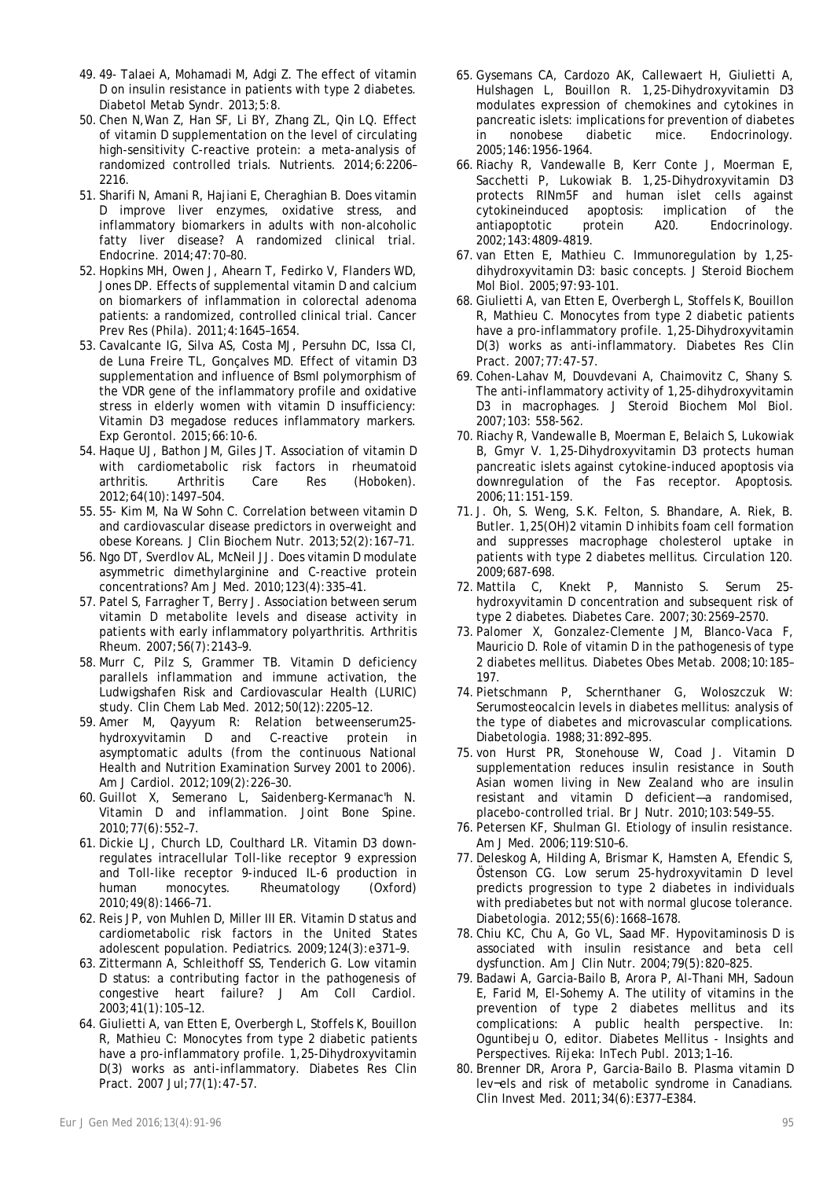- 49. 49- Talaei A, Mohamadi M, Adgi Z. The effect of vitamin D on insulin resistance in patients with type 2 diabetes. Diabetol Metab Syndr. 2013;5:8.
- 50. Chen N,Wan Z, Han SF, Li BY, Zhang ZL, Qin LQ. Effect of vitamin D supplementation on the level of circulating high-sensitivity C-reactive protein: a meta-analysis of randomized controlled trials. Nutrients. 2014;6:2206– 2216.
- 51. Sharifi N, Amani R, Hajiani E, Cheraghian B. Does vitamin D improve liver enzymes, oxidative stress, and inflammatory biomarkers in adults with non-alcoholic fatty liver disease? A randomized clinical trial. Endocrine. 2014;47:70–80.
- 52. Hopkins MH, Owen J, Ahearn T, Fedirko V, Flanders WD, Jones DP. Effects of supplemental vitamin D and calcium on biomarkers of inflammation in colorectal adenoma patients: a randomized, controlled clinical trial. Cancer Prev Res (Phila). 2011;4:1645–1654.
- 53. Cavalcante IG, Silva AS, Costa MJ, Persuhn DC, Issa CI, de Luna Freire TL, Gonçalves MD. Effect of vitamin D3 supplementation and influence of BsmI polymorphism of the VDR gene of the inflammatory profile and oxidative stress in elderly women with vitamin D insufficiency: Vitamin D3 megadose reduces inflammatory markers. Exp Gerontol. 2015;66:10-6.
- 54. Haque UJ, Bathon JM, Giles JT. Association of vitamin D with cardiometabolic risk factors in rheumatoid arthritis. Arthritis Care Res (Hoboken). 2012;64(10):1497–504.
- 55. 55- Kim M, Na W Sohn C. Correlation between vitamin D and cardiovascular disease predictors in overweight and obese Koreans. J Clin Biochem Nutr. 2013;52(2):167–71.
- 56. Ngo DT, Sverdlov AL, McNeil JJ. Does vitamin D modulate asymmetric dimethylarginine and C-reactive protein concentrations? Am J Med. 2010;123(4):335–41.
- 57. Patel S, Farragher T, Berry J. Association between serum vitamin D metabolite levels and disease activity in patients with early inflammatory polyarthritis. Arthritis Rheum. 2007;56(7):2143–9.
- 58. Murr C, Pilz S, Grammer TB. Vitamin D deficiency parallels inflammation and immune activation, the Ludwigshafen Risk and Cardiovascular Health (LURIC) study. Clin Chem Lab Med. 2012;50(12):2205–12.
- 59. Amer M, Qayyum R: Relation betweenserum25 hydroxyvitamin D and C-reactive protein in asymptomatic adults (from the continuous National Health and Nutrition Examination Survey 2001 to 2006). Am J Cardiol. 2012;109(2):226–30.
- 60.Guillot X, Semerano L, Saidenberg-Kermanac'h N. Vitamin D and inflammation. Joint Bone Spine. 2010;77(6):552–7.
- 61. Dickie LJ, Church LD, Coulthard LR. Vitamin D3 downregulates intracellular Toll-like receptor 9 expression and Toll-like receptor 9-induced IL-6 production in human monocytes. Rheumatology (Oxford) 2010;49(8):1466–71.
- 62. Reis JP, von Muhlen D, Miller III ER. Vitamin D status and cardiometabolic risk factors in the United States adolescent population. Pediatrics. 2009;124(3):e371–9.
- 63. Zittermann A, Schleithoff SS, Tenderich G. Low vitamin D status: a contributing factor in the pathogenesis of congestive heart failure? J Am Coll Cardiol. 2003;41(1):105–12.
- 64.Giulietti A, van Etten E, Overbergh L, Stoffels K, Bouillon R, Mathieu C: Monocytes from type 2 diabetic patients have a pro-inflammatory profile. 1,25-Dihydroxyvitamin D(3) works as anti-inflammatory. Diabetes Res Clin Pract. 2007 Jul;77(1):47-57.
- 66. Riachy R, Vandewalle B, Kerr Conte J, Moerman E, Sacchetti P, Lukowiak B. 1,25-Dihydroxyvitamin D3 protects RINm5F and human islet cells against cytokineinduced apoptosis: implication of the antiapoptotic protein A20. Endocrinology. 2002;143:4809-4819.
- 67. van Etten E, Mathieu C. Immunoregulation by 1,25 dihydroxyvitamin D3: basic concepts. J Steroid Biochem Mol Biol. 2005;97:93-101.
- 68.Giulietti A, van Etten E, Overbergh L, Stoffels K, Bouillon R, Mathieu C. Monocytes from type 2 diabetic patients have a pro-inflammatory profile. 1,25-Dihydroxyvitamin D(3) works as anti-inflammatory. Diabetes Res Clin Pract. 2007;77:47-57.
- 69. Cohen-Lahav M, Douvdevani A, Chaimovitz C, Shany S. The anti-inflammatory activity of 1,25-dihydroxyvitamin D3 in macrophages. J Steroid Biochem Mol Biol. 2007;103: 558-562.
- 70. Riachy R, Vandewalle B, Moerman E, Belaich S, Lukowiak B, Gmyr V. 1,25-Dihydroxyvitamin D3 protects human pancreatic islets against cytokine-induced apoptosis via downregulation of the Fas receptor. Apoptosis. 2006;11:151-159.
- 71. J. Oh, S. Weng, S.K. Felton, S. Bhandare, A. Riek, B. Butler. 1,25(OH)2 vitamin D inhibits foam cell formation and suppresses macrophage cholesterol uptake in patients with type 2 diabetes mellitus. Circulation 120. 2009;687-698.
- 72. Mattila C, Knekt P, Mannisto S. Serum 25 hydroxyvitamin D concentration and subsequent risk of type 2 diabetes. Diabetes Care. 2007;30:2569–2570.
- 73. Palomer X, Gonzalez-Clemente JM, Blanco-Vaca F, Mauricio D. Role of vitamin D in the pathogenesis of type 2 diabetes mellitus. Diabetes Obes Metab. 2008;10:185– 197.
- 74. Pietschmann P, Schernthaner G, Woloszczuk W: Serumosteocalcin levels in diabetes mellitus: analysis of the type of diabetes and microvascular complications. Diabetologia. 1988;31:892–895.
- 75. von Hurst PR, Stonehouse W, Coad J. Vitamin D supplementation reduces insulin resistance in South Asian women living in New Zealand who are insulin resistant and vitamin D deficient—a randomised, placebo-controlled trial. Br J Nutr. 2010;103:549–55.
- 76. Petersen KF, Shulman GI. Etiology of insulin resistance. Am J Med. 2006;119:S10–6.
- 77. Deleskog A, Hilding A, Brismar K, Hamsten A, Efendic S, Östenson CG. Low serum 25-hydroxyvitamin D level predicts progression to type 2 diabetes in individuals with prediabetes but not with normal glucose tolerance. Diabetologia. 2012;55(6):1668–1678.
- 78. Chiu KC, Chu A, Go VL, Saad MF. Hypovitaminosis D is associated with insulin resistance and beta cell dysfunction. Am J Clin Nutr. 2004;79(5):820–825.
- 79. Badawi A, Garcia-Bailo B, Arora P, Al-Thani MH, Sadoun E, Farid M, El-Sohemy A. The utility of vitamins in the prevention of type 2 diabetes mellitus and its complications: A public health perspective. In: Oguntibeju O, editor. Diabetes Mellitus - Insights and Perspectives. Rijeka: InTech Publ. 2013;1–16.
- 80. Brenner DR, Arora P, Garcia-Bailo B. Plasma vitamin D lev¬els and risk of metabolic syndrome in Canadians. Clin Invest Med. 2011;34(6):E377–E384.